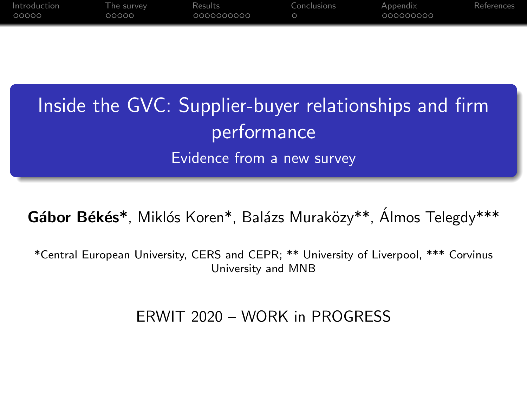| Introduction | The survey | Results    | Conclusions | Appendix  | References |
|--------------|------------|------------|-------------|-----------|------------|
| OOOOO        | 00000      | 0000000000 |             | 000000000 |            |
|              |            |            |             |           |            |

# Inside the GVC: Supplier-buyer relationships and firm performance Evidence from a new survey

Gábor Békés\*, Miklós Koren\*, Balázs Muraközy\*\*, Álmos Telegdy\*\*\*

\*Central European University, CERS and CEPR; \*\* University of Liverpool, \*\*\* Corvinus University and MNB

#### ERWIT 2020 – WORK in PROGRESS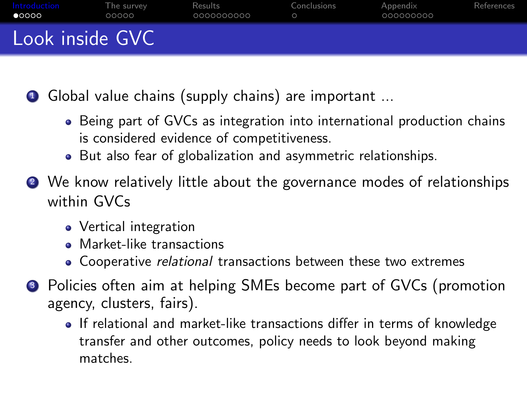<span id="page-1-0"></span>

| Introduction<br>$\bullet$ 0000 | The survey<br>00000 | Results<br>0000000000 | Conclusions | Appendix<br>000000000 | References |
|--------------------------------|---------------------|-----------------------|-------------|-----------------------|------------|
| Look inside GVC                |                     |                       |             |                       |            |

**1** Global value chains (supply chains) are important ...

- Being part of GVCs as integration into international production chains is considered evidence of competitiveness.
- But also fear of globalization and asymmetric relationships.
- <sup>2</sup> We know relatively little about the governance modes of relationships within GVCs
	- Vertical integration
	- Market-like transactions
	- Cooperative *relational* transactions between these two extremes
- <sup>3</sup> Policies often aim at helping SMEs become part of GVCs (promotion agency, clusters, fairs).
	- If relational and market-like transactions differ in terms of knowledge transfer and other outcomes, policy needs to look beyond making matches.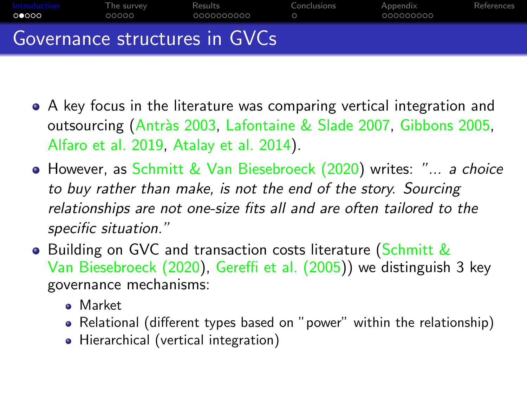

- A key focus in the literature was comparing vertical integration and outsourcing (Antràs 2003, [Lafontaine & Slade 2007,](#page-32-0) [Gibbons 2005,](#page-31-2) [Alfaro et al. 2019,](#page-31-3) [Atalay et al. 2014\)](#page-31-4).
- **However, as [Schmitt & Van Biesebroeck \(2020\)](#page-32-1) writes: "... a choice** to buy rather than make, is not the end of the story. Sourcing relationships are not one-size fits all and are often tailored to the specific situation."
- **•** Building on GVC and transaction costs literature [\(Schmitt &](#page-32-1) [Van Biesebroeck \(2020\)](#page-32-1), [Gereffi et al. \(2005\)](#page-31-5)) we distinguish 3 key governance mechanisms:
	- Market
	- Relational (different types based on "power" within the relationship)
	- Hierarchical (vertical integration)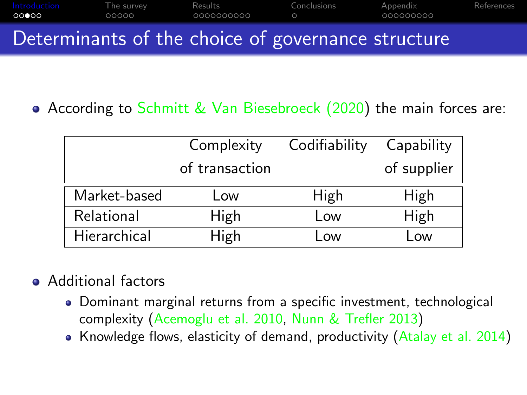| Introduction<br>00000 | The survev<br>00000 | Results<br>0000000000                              | Conclusions | Appendix<br>000000000 | References |
|-----------------------|---------------------|----------------------------------------------------|-------------|-----------------------|------------|
|                       |                     | Determinants of the choice of governance structure |             |                       |            |

According to [Schmitt & Van Biesebroeck \(2020\)](#page-32-1) the main forces are:

|              | Complexity     | Codifiability | Capability  |
|--------------|----------------|---------------|-------------|
|              | of transaction |               | of supplier |
| Market-based | Low            | High          | High        |
| Relational   | High           | Low           | High        |
| Hierarchical | High           | <b>OW</b>     | <b>OW</b>   |

## • Additional factors

- Dominant marginal returns from a specific investment, technological complexity [\(Acemoglu et al. 2010,](#page-31-6) [Nunn & Trefler 2013\)](#page-32-2)
- Knowledge flows, elasticity of demand, productivity  $(A_{\text{talay et al. 2014}})$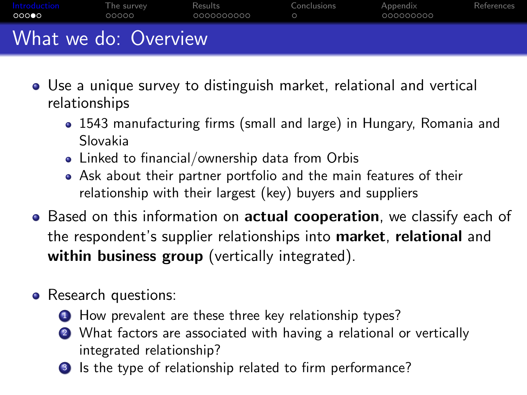| Introduction<br>00000 | The survey<br>00000 | Results<br>0000000000 | Conclusions | Appendix<br>000000000 | References |
|-----------------------|---------------------|-----------------------|-------------|-----------------------|------------|
| What we do: Overview  |                     |                       |             |                       |            |

- Use a unique survey to distinguish market, relational and vertical relationships
	- 1543 manufacturing firms (small and large) in Hungary, Romania and Slovakia
	- Linked to financial/ownership data from Orbis
	- Ask about their partner portfolio and the main features of their relationship with their largest (key) buyers and suppliers
- Based on this information on **actual cooperation**, we classify each of the respondent's supplier relationships into market, relational and within business group (vertically integrated).
- Research questions:
	- **1** How prevalent are these three key relationship types?
	- 2 What factors are associated with having a relational or vertically integrated relationship?
	- <sup>3</sup> Is the type of relationship related to firm performance?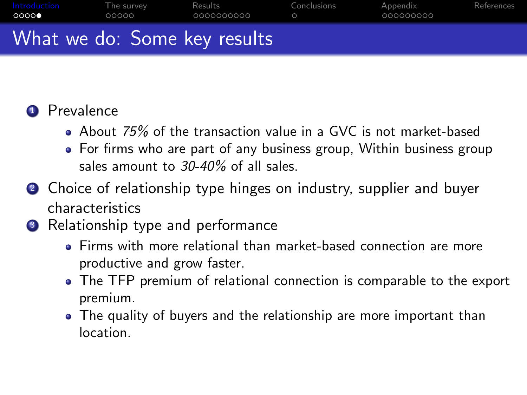

## **1** Prevalence

- About 75% of the transaction value in a GVC is not market-based
- For firms who are part of any business group, Within business group sales amount to 30-40% of all sales.
- 2 Choice of relationship type hinges on industry, supplier and buyer characteristics
- **3** Relationship type and performance
	- Firms with more relational than market-based connection are more productive and grow faster.
	- The TFP premium of relational connection is comparable to the export premium.
	- The quality of buyers and the relationship are more important than location.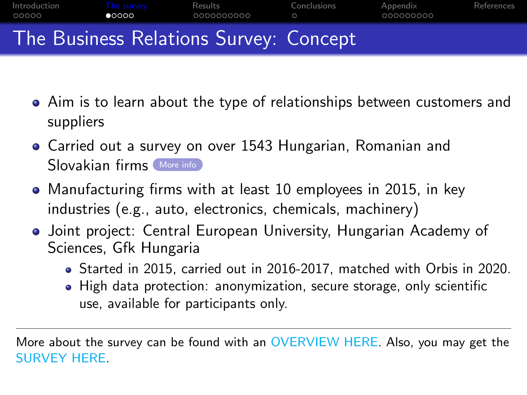<span id="page-6-0"></span>

- Aim is to learn about the type of relationships between customers and suppliers
- Carried out a survey on over 1543 Hungarian, Romanian and Slovakian firms [More info](#page-22-1)
- Manufacturing firms with at least 10 employees in 2015, in key industries (e.g., auto, electronics, chemicals, machinery)
- Joint project: Central European University, Hungarian Academy of Sciences, Gfk Hungaria
	- Started in 2015, carried out in 2016-2017, matched with Orbis in 2020.
	- High data protection: anonymization, secure storage, only scientific use, available for participants only.

More about the survey can be found with an [OVERVIEW HERE.](https://tinyurl.com/y2zkw6wq) Also, you may get the [SURVEY HERE.](https://tinyurl.com/y2kabgb2)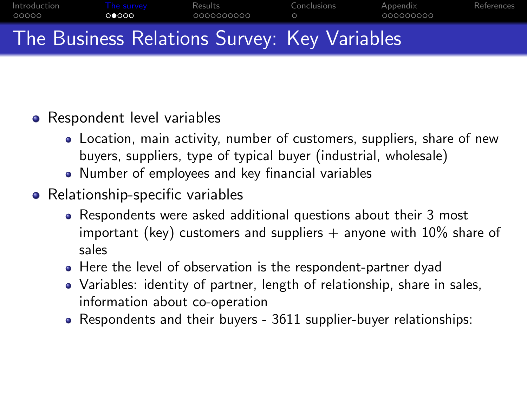

## • Respondent level variables

- Location, main activity, number of customers, suppliers, share of new buyers, suppliers, type of typical buyer (industrial, wholesale)
- Number of employees and key financial variables
- Relationship-specific variables
	- Respondents were asked additional questions about their 3 most important (key) customers and suppliers  $+$  anyone with 10% share of sales
	- Here the level of observation is the respondent-partner dyad
	- Variables: identity of partner, length of relationship, share in sales, information about co-operation
	- Respondents and their buyers 3611 supplier-buyer relationships: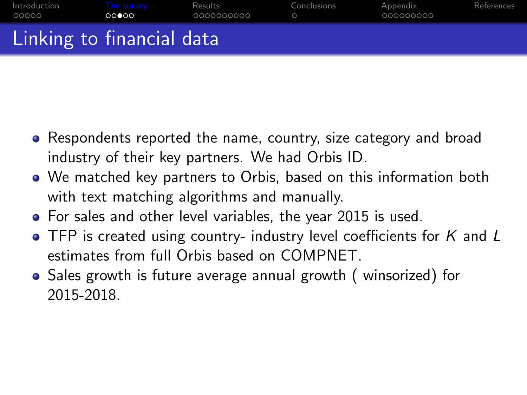| Introduction<br>OOOOO     | The survev<br>ററ⊜ററ | Results<br>_0000000000 | Conclusions | Appendix<br>- 000000000 | References |
|---------------------------|---------------------|------------------------|-------------|-------------------------|------------|
| Linking to financial data |                     |                        |             |                         |            |

- Respondents reported the name, country, size category and broad industry of their key partners. We had Orbis ID.
- We matched key partners to Orbis, based on this information both with text matching algorithms and manually.
- For sales and other level variables, the year 2015 is used.
- $\bullet$  TFP is created using country- industry level coefficients for K and L estimates from full Orbis based on COMPNET.
- Sales growth is future average annual growth ( winsorized) for 2015-2018.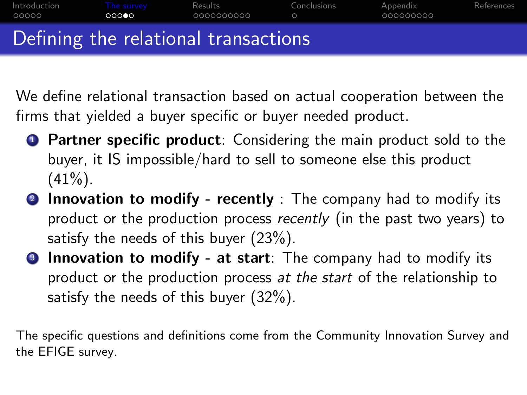| Introduction<br>OOOOO | The survev<br>റററൈ | Results<br>.0000000000               | Conclusions | Appendix<br>000000000 | References |
|-----------------------|--------------------|--------------------------------------|-------------|-----------------------|------------|
|                       |                    | Defining the relational transactions |             |                       |            |

We define relational transaction based on actual cooperation between the firms that yielded a buyer specific or buyer needed product.

- **1** Partner specific product: Considering the main product sold to the buyer, it IS impossible/hard to sell to someone else this product  $(41\%)$ .
- **2 Innovation to modify recently** : The company had to modify its product or the production process recently (in the past two years) to satisfy the needs of this buyer  $(23\%)$ .
- **3** Innovation to modify at start: The company had to modify its product or the production process at the start of the relationship to satisfy the needs of this buyer (32%).

The specific questions and definitions come from the Community Innovation Survey and the EFIGE survey.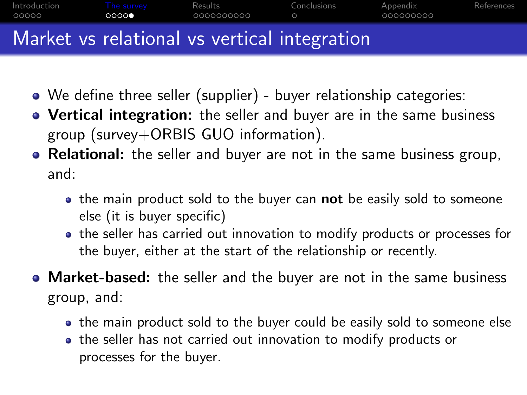

- We define three seller (supplier) buyer relationship categories:
- Vertical integration: the seller and buyer are in the same business group (survey+ORBIS GUO information).
- Relational: the seller and buyer are not in the same business group, and:
	- $\bullet$  the main product sold to the buyer can **not** be easily sold to someone else (it is buyer specific)
	- the seller has carried out innovation to modify products or processes for the buyer, either at the start of the relationship or recently.
- Market-based: the seller and the buyer are not in the same business group, and:
	- the main product sold to the buyer could be easily sold to someone else
	- the seller has not carried out innovation to modify products or processes for the buyer.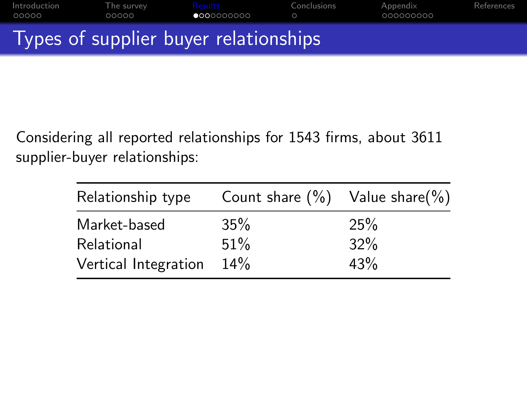<span id="page-11-0"></span>

Considering all reported relationships for 1543 firms, about 3611 supplier-buyer relationships:

| Relationship type    | Count share $(\%)$ Value share $(\%)$ |     |
|----------------------|---------------------------------------|-----|
| Market-based         | 35%                                   | 25% |
| Relational           | 51%                                   | 32% |
| Vertical Integration | 14%                                   | 43% |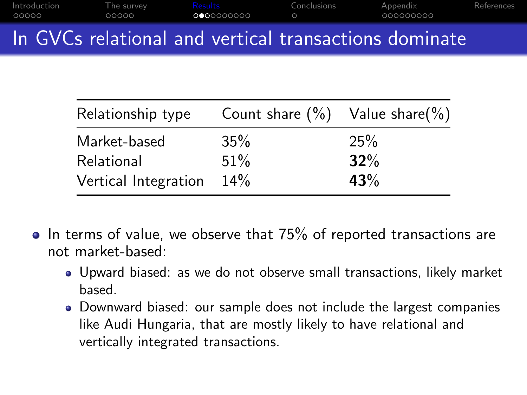|                       |                     | In GVCs relational and vertical transactions dominate |             |                       |            |
|-----------------------|---------------------|-------------------------------------------------------|-------------|-----------------------|------------|
| Introduction<br>00000 | The survev<br>00000 | Results<br>0000000000                                 | Conclusions | Appendix<br>000000000 | References |

| Count share $(\%)$ Value share $(\%)$ |
|---------------------------------------|
|                                       |
|                                       |
|                                       |
|                                       |

- $\bullet$  In terms of value, we observe that 75% of reported transactions are not market-based:
	- Upward biased: as we do not observe small transactions, likely market based.
	- Downward biased: our sample does not include the largest companies like Audi Hungaria, that are mostly likely to have relational and vertically integrated transactions.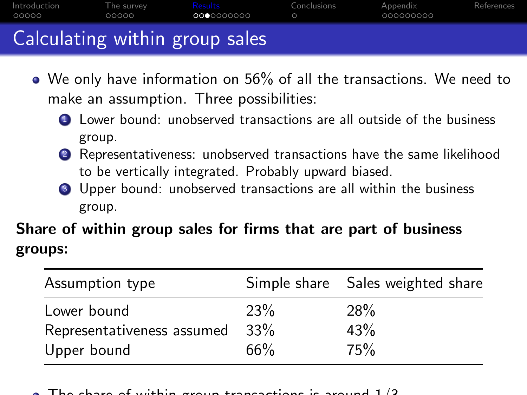| Introduction<br>OOOOO | The survey<br>00000 | Results<br>0000000000          | Conclusions | Appendix<br>000000000 | References |
|-----------------------|---------------------|--------------------------------|-------------|-----------------------|------------|
|                       |                     | Calculating within group sales |             |                       |            |

- We only have information on 56% of all the transactions. We need to make an assumption. Three possibilities:
	- **1** Lower bound: unobserved transactions are all outside of the business group.
	- <sup>2</sup> Representativeness: unobserved transactions have the same likelihood to be vertically integrated. Probably upward biased.
	- <sup>3</sup> Upper bound: unobserved transactions are all within the business group.

Share of within group sales for firms that are part of business groups:

| Assumption type            |            | Simple share Sales weighted share |
|----------------------------|------------|-----------------------------------|
| Lower bound                | <b>23%</b> | <b>28%</b>                        |
| Representativeness assumed | 33%        | 43%                               |
| Upper bound                | 66%        | 75%                               |

The share of within group transactions is around 1/3.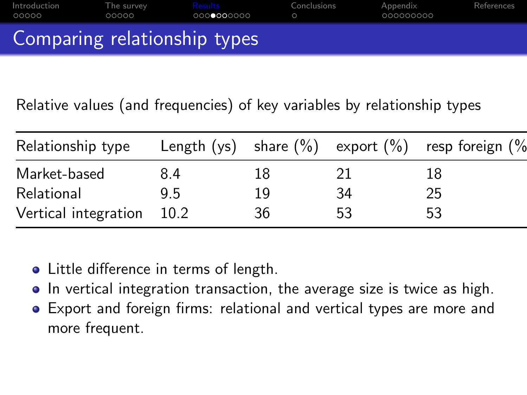| Introduction<br>OOOOO        | The survey<br>00000 | Results<br>0000000000 | Conclusions | Appendix<br>.000000000 | References |
|------------------------------|---------------------|-----------------------|-------------|------------------------|------------|
| Comparing relationship types |                     |                       |             |                        |            |

Relative values (and frequencies) of key variables by relationship types

| Relationship type    |        |    |    | Length $(ys)$ share $(\%)$ export $(\%)$ resp foreign $(\%)$ |
|----------------------|--------|----|----|--------------------------------------------------------------|
| Market-based         | 8.4    | 18 |    | 18                                                           |
| Relational           | 95     | 19 | 34 | 25                                                           |
| Vertical integration | - 10.2 | 36 | 53 | 53                                                           |

- Little difference in terms of length.
- In vertical integration transaction, the average size is twice as high.
- Export and foreign firms: relational and vertical types are more and more frequent.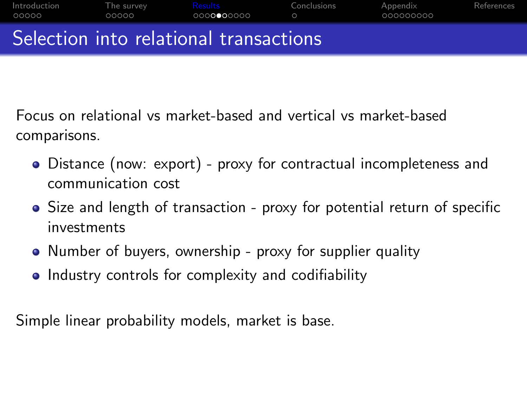

Focus on relational vs market-based and vertical vs market-based comparisons.

- Distance (now: export) proxy for contractual incompleteness and communication cost
- Size and length of transaction proxy for potential return of specific investments
- Number of buyers, ownership proxy for supplier quality
- Industry controls for complexity and codifiability

Simple linear probability models, market is base.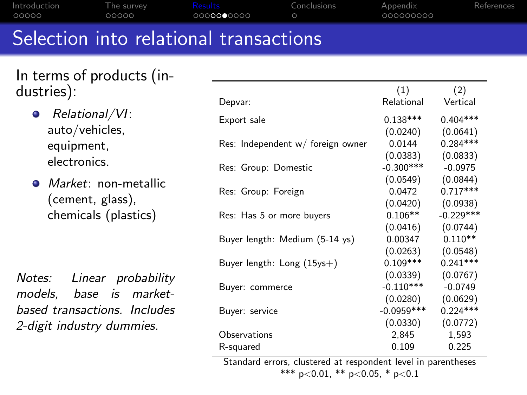| Introduction<br>00000 | The survey<br>00000 | <b>Results</b><br>0000000000 | Conclusions | Appendix<br>000000000 | References |
|-----------------------|---------------------|------------------------------|-------------|-----------------------|------------|
|                       |                     |                              |             |                       |            |

## Selection into relational transactions

| In terms of products (in- |  |
|---------------------------|--|
| dustries):                |  |

- Relational/VI:  $\bullet$ auto/vehicles, equipment, electronics.
- **Market:** non-metallic (cement, glass), chemicals (plastics)

Notes: Linear probability models, base is marketbased transactions. Includes 2-digit industry dummies.

|                                   | (1)          | (2)         |
|-----------------------------------|--------------|-------------|
| Depvar:                           | Relational   | Vertical    |
| Export sale                       | $0.138***$   | $0.404***$  |
|                                   | (0.0240)     | (0.0641)    |
| Res: Independent w/ foreign owner | 0.0144       | $0.284***$  |
|                                   | (0.0383)     | (0.0833)    |
| Res: Group: Domestic              | $-0.300***$  | $-0.0975$   |
|                                   | (0.0549)     | (0.0844)    |
| Res: Group: Foreign               | 0.0472       | $0.717***$  |
|                                   | (0.0420)     | (0.0938)    |
| Res: Has 5 or more buyers         | $0.106**$    | $-0.229***$ |
|                                   | (0.0416)     | (0.0744)    |
| Buyer length: Medium (5-14 ys)    | 0.00347      | $0.110**$   |
|                                   | (0.0263)     | (0.0548)    |
| Buyer length: $Long (15ys+)$      | $0.109***$   | $0.241***$  |
|                                   | (0.0339)     | (0.0767)    |
| Buyer: commerce                   | $-0.110***$  | $-0.0749$   |
|                                   | (0.0280)     | (0.0629)    |
| Buyer: service                    | $-0.0959***$ | $0.224***$  |
|                                   | (0.0330)     | (0.0772)    |
| Observations                      | 2,845        | 1,593       |
| R-squared                         | 0.109        | 0.225       |

Standard errors, clustered at respondent level in parentheses \*\*\* p<0.01, \*\* p<0.05, \* p<0.1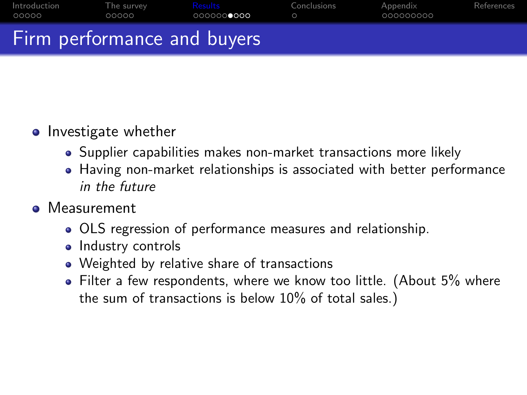| Introduction | The survey | Results                     | Conclusions | Appendix    | References |
|--------------|------------|-----------------------------|-------------|-------------|------------|
| 00000        | 00000      | 0000000000                  | $\bigcap$   | - 000000000 |            |
|              |            | Firm performance and buyers |             |             |            |

## **o** Investigate whether

- Supplier capabilities makes non-market transactions more likely
- Having non-market relationships is associated with better performance in the future

## **•** Measurement

- OLS regression of performance measures and relationship.
- Industry controls
- Weighted by relative share of transactions
- Filter a few respondents, where we know too little. (About 5% where the sum of transactions is below 10% of total sales.)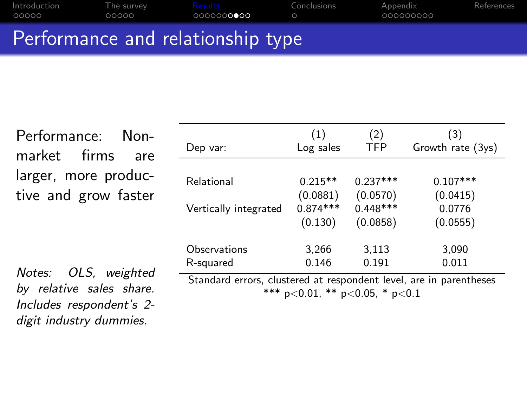| Introduction<br>OOOOO             | The survev<br>00000 | Results<br>0000000000 | Conclusions | Appendix<br>- 000000000 | References |  |  |
|-----------------------------------|---------------------|-----------------------|-------------|-------------------------|------------|--|--|
| Performance and relationship type |                     |                       |             |                         |            |  |  |

Performance: Non-

market firms are larger, more productive and grow faster

Notes: OLS, weighted by relative sales share. Includes respondent's 2 digit industry dummies.

| Dep var:                                                           | (1)<br>Log sales | (2)<br><b>TFP</b> | (3)<br>Growth rate (3ys) |  |  |
|--------------------------------------------------------------------|------------------|-------------------|--------------------------|--|--|
|                                                                    |                  |                   |                          |  |  |
| Relational                                                         | $0.215**$        | $0.237***$        | $0.107***$               |  |  |
|                                                                    | (0.0881)         | (0.0570)          | (0.0415)                 |  |  |
| Vertically integrated                                              | $0.874***$       | $0.448***$        | 0.0776                   |  |  |
|                                                                    | (0.130)          | (0.0858)          | (0.0555)                 |  |  |
|                                                                    |                  |                   |                          |  |  |
| Observations                                                       | 3,266            | 3,113             | 3,090                    |  |  |
| R-squared                                                          | 0.146            | 0.191             | 0.011                    |  |  |
| Standard errors, clustered at respondent level, are in parentheses |                  |                   |                          |  |  |

\*\*\* p<0.01, \*\* p<0.05, \* p<0.1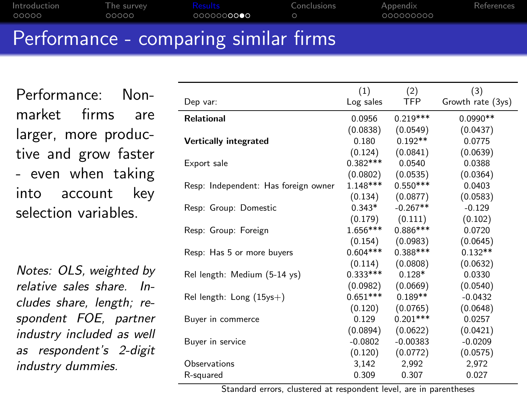|              |            | . Deufenneau er son er er eine antere eine Henrik finnea |             |             |            |
|--------------|------------|----------------------------------------------------------|-------------|-------------|------------|
| 00000        | 00000      | 000000 <b>0000</b>                                       |             | - 000000000 |            |
| Introduction | The survey | <b>Executes</b>                                          | Conclusions | Appendix    | References |

## Performance - comparing similar firms

Performance: Nonmarket firms are larger, more productive and grow faster - even when taking into account key selection variables.

Notes: OLS, weighted by relative sales share. Includes share, length; respondent FOE, partner industry included as well as respondent's 2-digit industry dummies.

|                                      | (1)        | (2)        | (3)               |
|--------------------------------------|------------|------------|-------------------|
| Dep var:                             | Log sales  | TFP.       | Growth rate (3ys) |
| <b>Relational</b>                    | 0.0956     | $0.219***$ | $0.0990**$        |
|                                      | (0.0838)   | (0.0549)   | (0.0437)          |
| <b>Vertically integrated</b>         | 0.180      | $0.192**$  | 0.0775            |
|                                      | (0.124)    | (0.0841)   | (0.0639)          |
| Export sale                          | $0.382***$ | 0.0540     | 0.0388            |
|                                      | (0.0802)   | (0.0535)   | (0.0364)          |
| Resp: Independent: Has foreign owner | $1.148***$ | $0.550***$ | 0.0403            |
|                                      | (0.134)    | (0.0877)   | (0.0583)          |
| Resp: Group: Domestic                | $0.343*$   | $-0.267**$ | $-0.129$          |
|                                      | (0.179)    | (0.111)    | (0.102)           |
| Resp: Group: Foreign                 | $1.656***$ | $0.886***$ | 0.0720            |
|                                      | (0.154)    | (0.0983)   | (0.0645)          |
| Resp: Has 5 or more buyers           | $0.604***$ | $0.388***$ | $0.132**$         |
|                                      | (0.114)    | (0.0808)   | (0.0632)          |
| Rel length: Medium (5-14 ys)         | $0.333***$ | $0.128*$   | 0.0330            |
|                                      | (0.0982)   | (0.0669)   | (0.0540)          |
| Rel length: Long $(15$ ys+)          | $0.651***$ | $0.189**$  | $-0.0432$         |
|                                      | (0.120)    | (0.0765)   | (0.0648)          |
| Buyer in commerce                    | 0.129      | $0.201***$ | 0.0257            |
|                                      | (0.0894)   | (0.0622)   | (0.0421)          |
| Buyer in service                     | $-0.0802$  | $-0.00383$ | $-0.0209$         |
|                                      | (0.120)    | (0.0772)   | (0.0575)          |
| Observations                         | 3,142      | 2,992      | 2,972             |
| R-squared                            | 0.309      | 0.307      | 0.027             |

Standard errors, clustered at respondent level, are in parentheses  $*$  parameters  $*$  parameters  $*$  parameters  $*$  parameters  $*$  parameters  $*$  parameters  $*$  parameters  $*$  parameters  $*$  parameters  $*$  parameters  $*$  parameters  $*$  parameters  $*$  parameters  $*$  parameters  $*$  paramet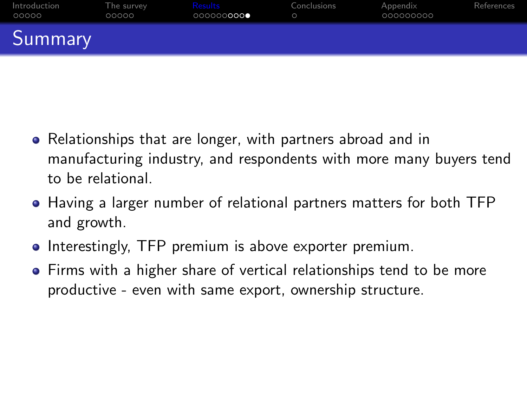| Introduction<br>00000 | The survey<br>00000 | Results<br>000000000● | Conclusions | Appendix<br>000000000 | References |
|-----------------------|---------------------|-----------------------|-------------|-----------------------|------------|
| Summary               |                     |                       |             |                       |            |

- Relationships that are longer, with partners abroad and in manufacturing industry, and respondents with more many buyers tend to be relational.
- Having a larger number of relational partners matters for both TFP and growth.
- Interestingly, TFP premium is above exporter premium.
- **•** Firms with a higher share of vertical relationships tend to be more productive - even with same export, ownership structure.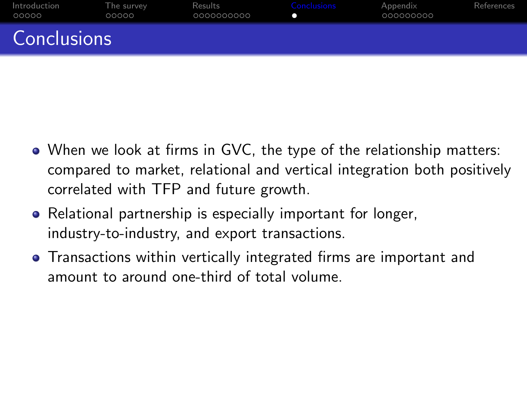<span id="page-21-0"></span>

| Introduction<br>00000 | The survey<br>00000 | Results<br>0000000000 | Conclusions | Appendix<br>000000000 | References |
|-----------------------|---------------------|-----------------------|-------------|-----------------------|------------|
| <b>Conclusions</b>    |                     |                       |             |                       |            |

- When we look at firms in GVC, the type of the relationship matters: compared to market, relational and vertical integration both positively correlated with TFP and future growth.
- Relational partnership is especially important for longer, industry-to-industry, and export transactions.
- Transactions within vertically integrated firms are important and amount to around one-third of total volume.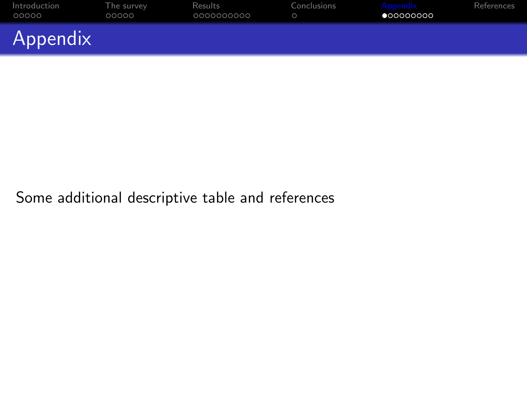<span id="page-22-0"></span>

| Introduction<br>00000 | The survey<br>00000 | Results<br>0000000000 | Conclusions | Appendix<br>•000000000 | References |
|-----------------------|---------------------|-----------------------|-------------|------------------------|------------|
| Appendix              |                     |                       |             |                        |            |

## <span id="page-22-1"></span>Some additional descriptive table and references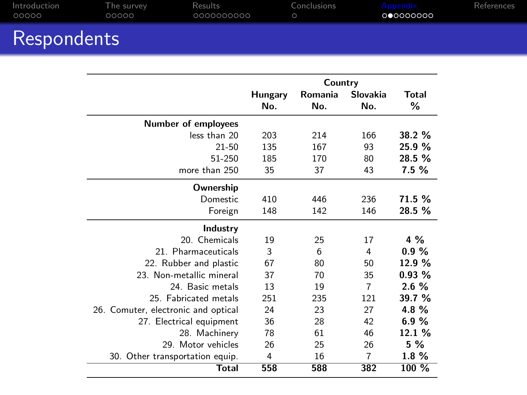| Introduction                                                                    | The survey | Results    | Conclusions | Appendix  | References |
|---------------------------------------------------------------------------------|------------|------------|-------------|-----------|------------|
| 00000                                                                           | 00000      | 0000000000 |             | 000000000 |            |
| the contract of the contract of the contract of the contract of the contract of |            |            |             |           |            |

| <b>Respondents</b> |  |  |
|--------------------|--|--|
|                    |  |  |

|                                     |                | Country |                |          |
|-------------------------------------|----------------|---------|----------------|----------|
|                                     | Hungary        | Romania | Slovakia       | Total    |
|                                     | No.            | No.     | No.            | ℅        |
| <b>Number of employees</b>          |                |         |                |          |
| less than 20                        | 203            | 214     | 166            | 38.2 %   |
| $21 - 50$                           | 135            | 167     | 93             | 25.9 %   |
| 51-250                              | 185            | 170     | 80             | 28.5 %   |
| more than 250                       | 35             | 37      | 43             | 7.5 %    |
| Ownership                           |                |         |                |          |
| <b>Domestic</b>                     | 410            | 446     | 236            | 71.5 %   |
| Foreign                             | 148            | 142     | 146            | 28.5 %   |
| Industry                            |                |         |                |          |
| 20. Chemicals                       | 19             | 25      | 17             | 4 %      |
| 21. Pharmaceuticals                 | 3              | 6       | 4              | 0.9%     |
| 22. Rubber and plastic              | 67             | 80      | 50             | 12.9 %   |
| 23. Non-metallic mineral            | 37             | 70      | 35             | 0.93%    |
| 24. Basic metals                    | 13             | 19      | $\overline{7}$ | 2.6%     |
| 25. Fabricated metals               | 251            | 235     | 121            | 39.7 %   |
| 26. Comuter, electronic and optical | 24             | 23      | 27             | 4.8%     |
| 27. Electrical equipment            | 36             | 28      | 42             | 6.9%     |
| 28. Machinery                       | 78             | 61      | 46             | 12.1 %   |
| 29. Motor vehicles                  | 26             | 25      | 26             | 5 %      |
| 30. Other transportation equip.     | $\overline{4}$ | 16      | 7              | $1.8 \%$ |
| Total                               | 558            | 588     | 382            | 100 %    |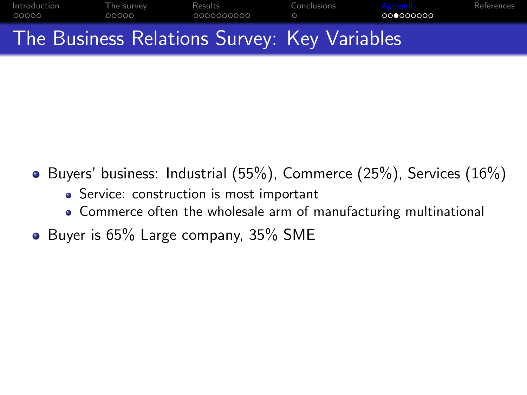

- Buyers' business: Industrial  $(55%)$ , Commerce  $(25%)$ , Services  $(16%)$ 
	- Service: construction is most important
	- Commerce often the wholesale arm of manufacturing multinational
- Buyer is 65% Large company, 35% SME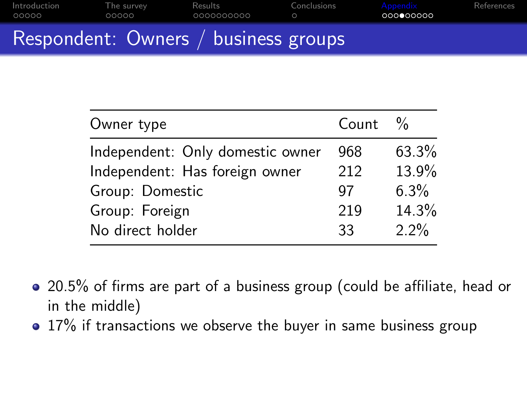| Introduction | The survey | Results                              | Conclusions | Appendix  | References |
|--------------|------------|--------------------------------------|-------------|-----------|------------|
| 00000        | 00000      | 0000000000                           | o           | 000000000 |            |
|              |            | Respondent: Owners / business groups |             |           |            |

| Owner type                       | Count | $\frac{0}{0}$ |
|----------------------------------|-------|---------------|
| Independent: Only domestic owner | 968   | 63.3%         |
| Independent: Has foreign owner   | 212   | 13.9%         |
| Group: Domestic                  | 97    | $6.3\%$       |
| Group: Foreign                   | 219   | 14.3%         |
| No direct holder                 | 33    | $2.2\%$       |

- 20.5% of firms are part of a business group (could be affiliate, head or in the middle)
- 17% if transactions we observe the buyer in same business group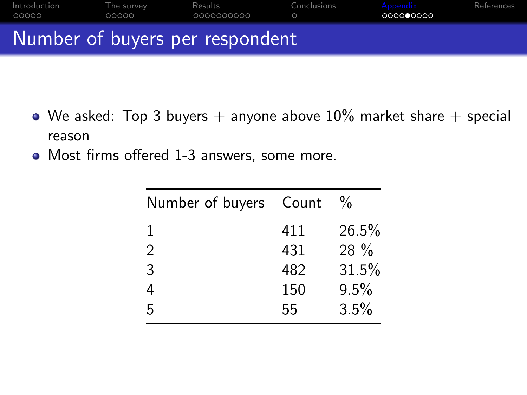

- We asked: Top 3 buyers  $+$  anyone above 10% market share  $+$  special reason
- Most firms offered 1-3 answers, some more.

| Number of buyers Count |     | $\frac{0}{0}$ |
|------------------------|-----|---------------|
| 1                      | 411 | 26.5%         |
| $\mathcal{P}$          | 431 | $28\%$        |
| 3                      | 482 | 31.5%         |
|                        | 150 | 9.5%          |
| ҕ                      | 55  | 3.5%          |
|                        |     |               |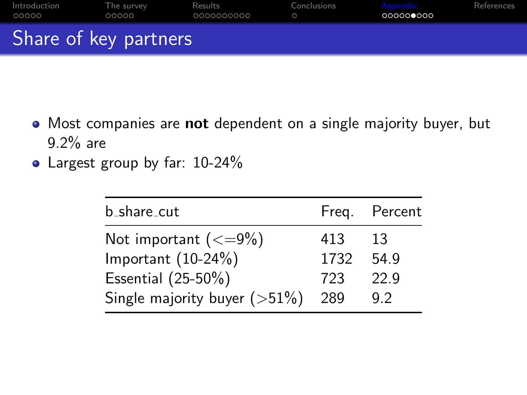| Introduction<br>00000 | The survev<br>00000 | Results<br>0000000000 | Conclusions | Appendix<br>000000000 | References |
|-----------------------|---------------------|-----------------------|-------------|-----------------------|------------|
| Share of key partners |                     |                       |             |                       |            |

- Most companies are not dependent on a single majority buyer, but 9.2% are
- Largest group by far: 10-24%

| b_share_cut                     |      | Freg. Percent |
|---------------------------------|------|---------------|
| Not important $(<=9\%)$         | 413  | 13            |
| Important $(10-24%)$            | 1732 | 54.9          |
| Essential (25-50%)              | 723  | 229           |
| Single majority buyer $($ >51%) | 289  | 92            |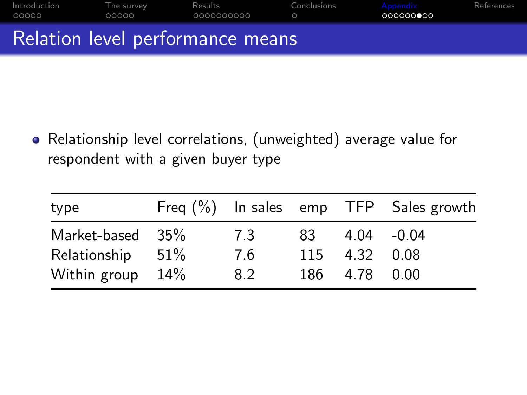| Introduction<br>00000            | The survey<br>00000 | Results<br>_0000000000 | Conclusions | Appendix<br>0000000000 | References |
|----------------------------------|---------------------|------------------------|-------------|------------------------|------------|
| Relation level performance means |                     |                        |             |                        |            |

Relationship level correlations, (unweighted) average value for respondent with a given buyer type

| type                |     |     |             | Freq $(\%)$ In sales emp TFP Sales growth |
|---------------------|-----|-----|-------------|-------------------------------------------|
| Market-based 35%    | 7.3 | 83. | 4.04 - 0.04 |                                           |
| Relationship 51%    | 7.6 | 115 | 4.32 0.08   |                                           |
| Within group $14\%$ | 8.2 | 186 | 4.78        | 0.00                                      |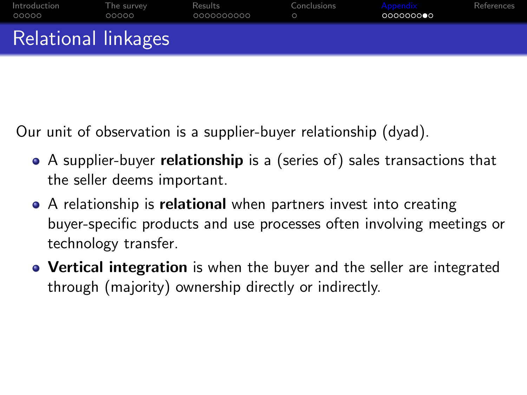| Introduction<br>00000 | The survey<br>00000 | Results<br>0000000000 | Conclusions | Appendix<br>0000000●0 | References |
|-----------------------|---------------------|-----------------------|-------------|-----------------------|------------|
| Relational linkages   |                     |                       |             |                       |            |

Our unit of observation is a supplier-buyer relationship (dyad).

- A supplier-buyer **relationship** is a (series of) sales transactions that the seller deems important.
- A relationship is **relational** when partners invest into creating buyer-specific products and use processes often involving meetings or technology transfer.
- Vertical integration is when the buyer and the seller are integrated through (majority) ownership directly or indirectly.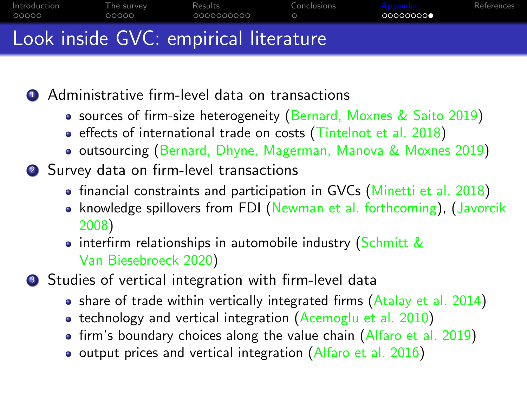| Introduction                          | The survey | Results     | Conclusions | Appendix  | References |  |  |
|---------------------------------------|------------|-------------|-------------|-----------|------------|--|--|
| 00000                                 | 00000      | .0000000000 | $\bigcirc$  | 000000000 |            |  |  |
| Look inside GVC: empirical literature |            |             |             |           |            |  |  |

**4** Administrative firm-level data on transactions

- sources of firm-size heterogeneity [\(Bernard, Moxnes & Saito 2019\)](#page-31-7)
- effects of international trade on costs [\(Tintelnot et al. 2018\)](#page-32-3)
- **outsourcing [\(Bernard, Dhyne, Magerman, Manova & Moxnes 2019\)](#page-31-8)**
- <sup>2</sup> Survey data on firm-level transactions
	- financial constraints and participation in GVCs [\(Minetti et al. 2018\)](#page-32-4)
	- knowledge spillovers from FDI [\(Newman et al. forthcoming\)](#page-32-5), [\(Javorcik](#page-32-6) [2008\)](#page-32-6)
	- interfirm relationships in automobile industry [\(Schmitt &](#page-32-1) [Van Biesebroeck 2020\)](#page-32-1)

<sup>3</sup> Studies of vertical integration with firm-level data

- share of trade within vertically integrated firms [\(Atalay et al. 2014\)](#page-31-4)
- $\bullet$  technology and vertical integration [\(Acemoglu et al. 2010\)](#page-31-6)
- firm's boundary choices along the value chain [\(Alfaro et al. 2019\)](#page-31-3)
- o output prices and vertical integration [\(Alfaro et al. 2016\)](#page-31-9)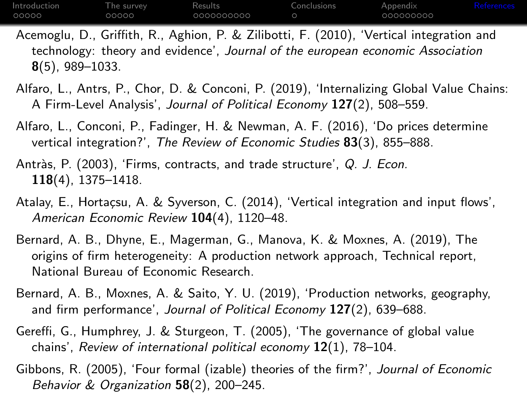<span id="page-31-0"></span>

| Introduction | The survev | Results <sup>®</sup> | Conclusions | Appendix  | References |
|--------------|------------|----------------------|-------------|-----------|------------|
| 00000        | 00000      | 0000000000           |             | 000000000 |            |

<span id="page-31-6"></span>Acemoglu, D., Griffith, R., Aghion, P. & Zilibotti, F. (2010), 'Vertical integration and technology: theory and evidence', Journal of the european economic Association 8(5), 989–1033.

- <span id="page-31-3"></span>Alfaro, L., Antrs, P., Chor, D. & Conconi, P. (2019), 'Internalizing Global Value Chains: A Firm-Level Analysis', Journal of Political Economy 127(2), 508-559.
- <span id="page-31-9"></span>Alfaro, L., Conconi, P., Fadinger, H. & Newman, A. F. (2016), 'Do prices determine vertical integration?', The Review of Economic Studies 83(3), 855-888.
- <span id="page-31-1"></span>Antràs, P. (2003), 'Firms, contracts, and trade structure', Q. J. Econ. 118(4), 1375–1418.
- <span id="page-31-4"></span>Atalay, E., Hortaçsu, A. & Syverson, C. (2014), 'Vertical integration and input flows'. American Economic Review 104(4), 1120–48.
- <span id="page-31-8"></span>Bernard, A. B., Dhyne, E., Magerman, G., Manova, K. & Moxnes, A. (2019), The origins of firm heterogeneity: A production network approach, Technical report, National Bureau of Economic Research.
- <span id="page-31-7"></span>Bernard, A. B., Moxnes, A. & Saito, Y. U. (2019), 'Production networks, geography, and firm performance', Journal of Political Economy 127(2), 639–688.
- <span id="page-31-5"></span>Gereffi, G., Humphrey, J. & Sturgeon, T. (2005), 'The governance of global value chains', Review of international political economy  $12(1)$ , 78-104.
- <span id="page-31-2"></span>Gibbons, R. (2005), 'Four formal (izable) theories of the firm?', Journal of Economic Behavior & Organization  $58(2)$ , 200-245.